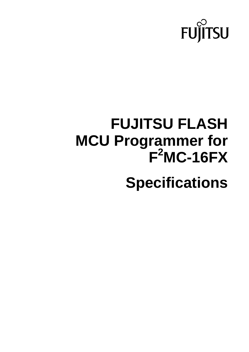

# **FUJITSU FLASH MCU Programmer for F2 MC-16FX**

**Specifications**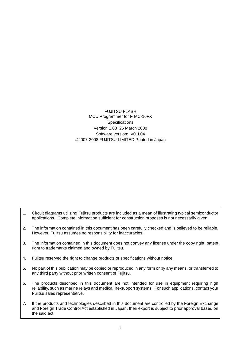FUJITSU FLASH  $MCU$  Programmer for  $F^2MC-16FX$ **Specifications** Version 1.03 26 March 2008 Software version: V01L04 ©2007-2008 FUJITSU LIMITED Printed in Japan

- 1. Circuit diagrams utilizing Fujitsu products are included as a mean of illustrating typical semiconductor applications. Complete information sufficient for construction proposes is not necessarily given.
- 2. The information contained in this document has been carefully checked and is believed to be reliable. However, Fujitsu assumes no responsibility for inaccuracies.
- 3. The information contained in this document does not convey any license under the copy right, patent right to trademarks claimed and owned by Fujitsu.
- 4. Fujitsu reserved the right to change products or specifications without notice.
- 5. No part of this publication may be copied or reproduced in any form or by any means, or transferred to any third party without prior written consent of Fujitsu.
- 6. The products described in this document are not intended for use in equipment requiring high reliability, such as marine relays and medical life-support systems. For such applications, contact your Fujitsu sales representative.
- 7. If the products and technologies described in this document are controlled by the Foreign Exchange and Foreign Trade Control Act established in Japan, their export is subject to prior approval based on the said act.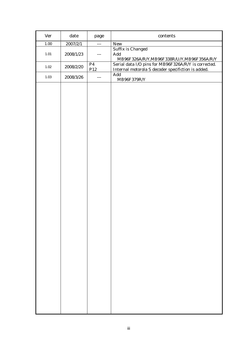| <b>Ver</b> | $\text{date}$ | page                              | $\mathop{\rm contents}\nolimits$                                                                                                |
|------------|---------------|-----------------------------------|---------------------------------------------------------------------------------------------------------------------------------|
| $1.00\,$   | 2007/2/1      | $---$                             | New                                                                                                                             |
| $1.01\,$   | 2008/1/23     | $---$                             | <b>Suffix is Changed</b><br>Add<br>$\text{MB96F326A/R}/\text{Y},\text{MB96F338R}/\text{U}/\text{Y},\text{MB96F356A/R}/\text{Y}$ |
| $1.02\,$   | 2008/2/20     | P <sub>4</sub><br>P <sub>12</sub> | Serial data I/O pins for MB96F326A/R/Y is corrected.<br>Internal motorola S decoder specifiction is added.                      |
| $1.03\,$   | 2008/3/26     | $---$                             | Add<br>MB96F379R/Y                                                                                                              |
|            |               |                                   |                                                                                                                                 |
|            |               |                                   |                                                                                                                                 |
|            |               |                                   |                                                                                                                                 |
|            |               |                                   |                                                                                                                                 |
|            |               |                                   |                                                                                                                                 |
|            |               |                                   |                                                                                                                                 |
|            |               |                                   |                                                                                                                                 |
|            |               |                                   |                                                                                                                                 |
|            |               |                                   |                                                                                                                                 |
|            |               |                                   |                                                                                                                                 |
|            |               |                                   |                                                                                                                                 |
|            |               |                                   |                                                                                                                                 |
|            |               |                                   |                                                                                                                                 |
|            |               |                                   |                                                                                                                                 |
|            |               |                                   |                                                                                                                                 |
|            |               |                                   |                                                                                                                                 |
|            |               |                                   |                                                                                                                                 |
|            |               |                                   |                                                                                                                                 |
|            |               |                                   |                                                                                                                                 |
|            |               |                                   |                                                                                                                                 |
|            |               |                                   |                                                                                                                                 |
|            |               |                                   |                                                                                                                                 |
|            |               |                                   |                                                                                                                                 |
|            |               |                                   |                                                                                                                                 |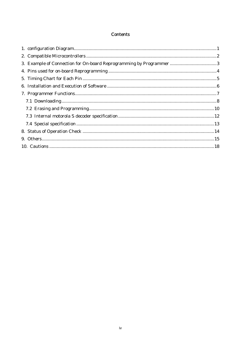## **Contents**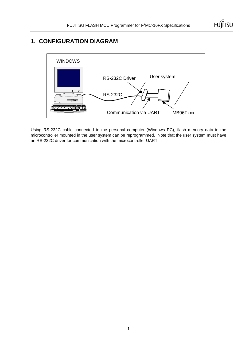

# **1. CONFIGURATION DIAGRAM**



Using RS-232C cable connected to the personal computer (Windows PC), flash memory data in the microcontroller mounted in the user system can be reprogrammed. Note that the user system must have an RS-232C driver for communication with the microcontroller UART.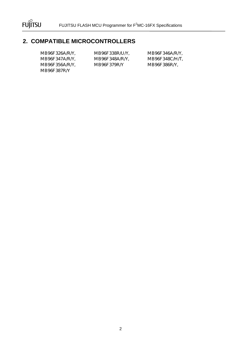

# **2. COMPATIBLE MICROCONTROLLERS**

MB96F387R/Y

MB96F347A/R/Y, MB96F348A/R/Y, MB96F348C/H/T, MB96F356A/R/Y, MB96F379R/Y MB96F386R/Y,

MB96F326A/R/Y, MB96F338R/U/Y, MB96F346A/R/Y,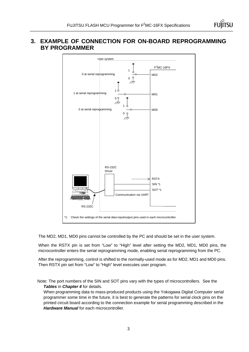## **3. EXAMPLE OF CONNECTION FOR ON-BOARD REPROGRAMMING BY PROGRAMMER**



The MD2, MD1, MD0 pins cannot be controlled by the PC and should be set in the user system.

When the RSTX pin is set from "Low" to "High" level after setting the MD2, MD1, MD0 pins, the microcontroller enters the serial reprogramming mode, enabling serial reprogramming from the PC.

After the reprogramming, control is shifted to the normally-used mode as for MD2, MD1 and MD0 pins. Then RSTX pin set from "Low" to "High" level executes user program.

Note: The port numbers of the SIN and SOT pins vary with the types of microcontrollers. See the *Tables* in *Chapter 4* for details.

When programming data to mass-produced products using the Yokogawa Digital Computer serial programmer some time in the future, it is best to generate the patterns for serial clock pins on the printed circuit board according to the connection example for serial programming described in the *Hardware Manual* for each microcontroller.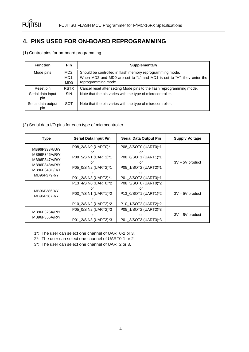

# **4. PINS USED FOR ON-BOARD REPROGRAMMING**

|  |  | (1) Control pins for on-board programming |
|--|--|-------------------------------------------|
|  |  |                                           |

| <b>Function</b>           | <b>Pin</b>                                 | <b>Supplementary</b>                                                                                                                                     |
|---------------------------|--------------------------------------------|----------------------------------------------------------------------------------------------------------------------------------------------------------|
| Mode pins                 | MD <sub>2</sub><br>MD1,<br>MD <sub>0</sub> | Should be controlled in flash memory reprogramming mode.<br>When MD2 and MD0 are set to "L" and MD1 is set to "H", they enter the<br>reprogramming mode. |
| Reset pin                 | <b>RSTX</b>                                | Cancel reset after setting Mode pins to the flash reprogramming mode.                                                                                    |
| Serial data input<br>pin  | <b>SIN</b>                                 | Note that the pin varies with the type of microcontroller.                                                                                               |
| Serial data output<br>pin | <b>SOT</b>                                 | Note that the pin varies with the type of microcontroller.                                                                                               |

## (2) Serial data I/O pins for each type of microcontroller

| <b>Type</b>                                                                                      | <b>Serial Data Input Pin</b>                                                                                   | <b>Serial Data Output Pin</b>                                                    | <b>Supply Voltage</b> |
|--------------------------------------------------------------------------------------------------|----------------------------------------------------------------------------------------------------------------|----------------------------------------------------------------------------------|-----------------------|
| MB96F338R/U/Y<br>MB96F346A/R/Y<br>MB96F347A/R/Y<br>MB96F348A/R/Y<br>MB96F348C/H/T<br>MB96F379R/Y | P08_2/SIN0 (UART0)*1<br>or<br>P08_5/SIN1 (UART1)*1<br>or<br>P05_0/SIN2 (UART2)*1<br>Ωr<br>P01_2/SIN3 (UART3)*1 |                                                                                  | $3V - 5V$ product     |
| MB96F386R/Y<br>MB96F387R/Y                                                                       | P13_4/SIN0 (UART0)*2<br>or<br>P03_7/SIN1 (UART1)*2<br>or<br>P10_2/SIN2 (UART2)*2                               | P08_5/SOT0 (UART0)*2<br>or<br>P13_0/SOT1 (UART1)*2<br>or<br>P10_1/SOT2 (UART2)*2 | $3V - 5V$ product     |
| MB96F326A/R/Y<br>MB96F356A/R/Y                                                                   | P05_0/SIN2 (UART2)*3<br>or<br>P01 2/SIN3 (UART3)*3                                                             | P05_1/SOT2 (UART2)*3<br>or<br>P01 3/SOT3 (UART3)*3                               | $3V - 5V$ product     |

- 1\*: The user can select one channel of UART0-2 or 3.
- 2\*: The user can select one channel of UART0-1 or 2.
- 3\*: The user can select one channel of UART2 or 3.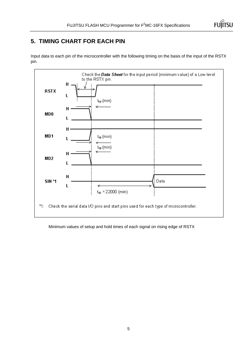

# **5. TIMING CHART FOR EACH PIN**

Input data to each pin of the microcontroller with the following timing on the basis of the input of the RSTX pin.



Minimum values of setup and hold times of each signal on rising edge of RSTX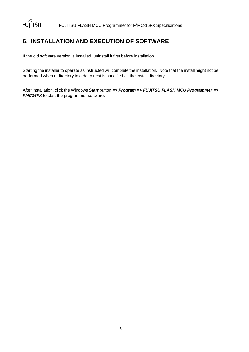# **6. INSTALLATION AND EXECUTION OF SOFTWARE**

If the old software version is installed, uninstall it first before installation.

Starting the installer to operate as instructed will complete the installation. Note that the install might not be performed when a directory in a deep nest is specified as the install directory.

After installation, click the Windows *Start* button *=> Program => FUJITSU FLASH MCU Programmer =>*  **FMC16FX** to start the programmer software.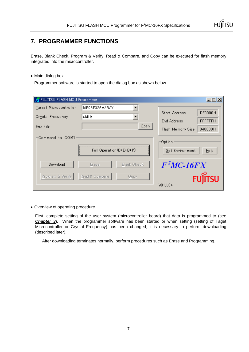

# **7. PROGRAMMER FUNCTIONS**

Erase, Blank Check, Program & Verify, Read & Compare, and Copy can be executed for flash memory integrated into the microcontroller.

## • Main dialog box

Programmer software is started to open the dialog box as shown below.

| FUJITSU FLASH MCU Programmer |                                 |                    |                   | $ \Box$ x       |
|------------------------------|---------------------------------|--------------------|-------------------|-----------------|
| Target Microcontroller       | MB96F326A/R/Y                   |                    |                   |                 |
| <b>Crystal Frequency</b>     | 4 M Hz                          |                    | Start Address     | <b>DF0000H</b>  |
|                              |                                 |                    | End Address       | <b>FFFFFFFH</b> |
| Hex File                     |                                 | Open               | Flash Memory Size | 048000H         |
| Command to COM1              |                                 |                    |                   |                 |
|                              |                                 |                    | Option            |                 |
|                              | <b>Full Operation (D+E+B+P)</b> |                    | Set Environment   | $He$ $p$        |
| Download                     | Erase                           | <b>Blank Check</b> | $F^2MC-16FX$      |                 |
| Program & Verify             | Read & Compare                  | Copy               |                   | isu             |
|                              |                                 |                    | V01.L04           |                 |

• Overview of operating procedure

First, complete setting of the user system (microcontroller board) that data is programmed to (see **Chapter 3**). When the programmer software has been started or when setting (setting of Taget Microcontroller or Crystal Frequency) has been changed, it is necessary to perform downloading (described later).

After downloading terminates normally, perform procedures such as Erase and Programming.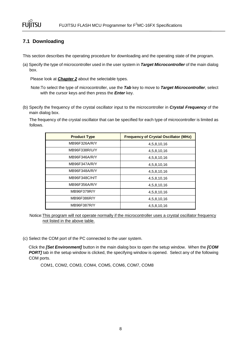

## **7.1 Downloading**

This section describes the operating procedure for downloading and the operating state of the program.

(a) Specify the type of microcontroller used in the user system in *Target Microcontroller* of the main dialog box.

Please look at *Chapter 2* about the selectable types.

Note:To select the type of microcontroller, use the *Tab* key to move to *Target Microcontroller*, select with the cursor keys and then press the *Enter* key.

(b) Specify the frequency of the crystal oscillator input to the microcontroller in *Crystal Frequency* of the main dialog box.

The frequency of the crystal oscillator that can be specified for each type of microcontroller is limited as follows.

| <b>Product Type</b> | <b>Frequency of Crystal Oscillator (MHz)</b> |
|---------------------|----------------------------------------------|
| MB96F326A/R/Y       | 4,5,8,10,16                                  |
| MB96F338R/U/Y       | 4,5,8,10,16                                  |
| MB96F346A/R/Y       | 4,5,8,10,16                                  |
| MB96F347A/R/Y       | 4,5,8,10,16                                  |
| MB96F348A/R/Y       | 4,5,8,10,16                                  |
| MB96F348C/H/T       | 4,5,8,10,16                                  |
| MB96F356A/R/Y       | 4,5,8,10,16                                  |
| MB96F379R/Y         | 4,5,8,10,16                                  |
| MB96F386R/Y         | 4,5,8,10,16                                  |
| MB96F387R/Y         | 4,5,8,10,16                                  |

Notice:This program will not operate normally if the microcontroller uses a crystal oscillator frequency not listed in the above table.

(c) Select the COM port of the PC connected to the user system.

Click the *[Set Environment]* button in the main dialog box to open the setup window. When the *[COM*  **PORT]** tab in the setup window is clicked, the specifying window is opened. Select any of the following COM ports.

COM1, COM2, COM3, COM4, COM5, COM6, COM7, COM8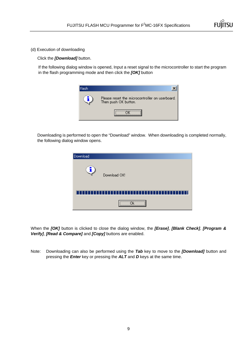

(d) Execution of downloading

Click the *[Download]* button.

If the following dialog window is opened, Input a reset signal to the microcontroller to start the program in the flash programming mode and then click the *[OK]* button



Downloading is performed to open the "Download" window. When downloading is completed normally, the following dialog window opens.

| Download |              |
|----------|--------------|
|          | Download OK! |
|          |              |
|          |              |

When the *[OK]* button is clicked to close the dialog window, the *[Erase]*, *[Blank Check]*, *[Program & Verify]*, *[Read & Compare]* and *[Copy]* buttons are enabled.

Note: Downloading can also be performed using the *Tab* key to move to the *[Download]* button and pressing the *Enter* key or pressing the *ALT* and *D* keys at the same time.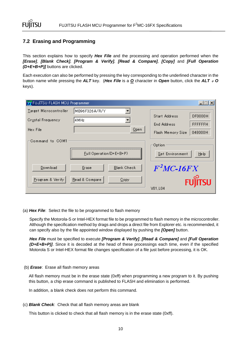## **7.2 Erasing and Programming**

This section explains how to specify *Hex File* and the processing and operation performed when the *[Erase]*, *[Blank Check], [Program & Verify], [Read & Compare], [Copy]* and *[Full Operation (D+E+B+P)]* buttons are clicked.

Each execution can also be performed by pressing the key corresponding to the underlined character in the button name while pressing the *ALT* key. (*Hex File* is a *O* character in *Open* button, click the *ALT* + *O* keys).

| FUJITSU FLASH MCU Programmer |                             | $ \Box$ $\times$                  |
|------------------------------|-----------------------------|-----------------------------------|
| Target Microcontroller       | MB96F326A/R/Y               |                                   |
| Crystal Frequency            | 4 M Hz                      | Start Address<br><b>DF0000H</b>   |
|                              |                             | <b>FFFFFFFH</b><br>End Address    |
| Hex File                     | Open                        | 048000H<br>Flash Memory Size      |
| Command to COM1              | Full Operation (D+E+B+P)    | Option<br>Set Environment<br>Help |
| Download                     | <b>Blank Check</b><br>Erase | $F^2MC-16FX$                      |
| Program & Verify             | Read & Compare<br>Copy      | tsu<br>V01.L04                    |

(a) *Hex File*: Select the file to be programmed to flash memory

Specify the Motorola-S or Intel-HEX format file to be programmed to flash memory in the microcontroller. Although the specification method by drags and drops a direct file from Explorer etc. is recommended, it can specify also by the file appointed window displayed by pushing the *[Open]* button.

*Hex File* must be specified to execute *[Program & Verify]*, *[Read & Compare]* and *[Full Operation (D+E+B+P)]*. Since it is decoded at the head of these processings each time, even if the specified Motorola S or Intel-HEX format file changes specification of a file just before processing, it is OK.

(b) *Erase*: Erase all flash memory areas

All flash memory must be in the erase state (0xff) when programming a new program to it. By pushing this button, a chip erase command is published to FLASH and elimination is performed.

In addition, a blank check does not perform this command.

(c) *Blank Check*: Check that all flash memory areas are blank

This button is clicked to check that all flash memory is in the erase state (0xff).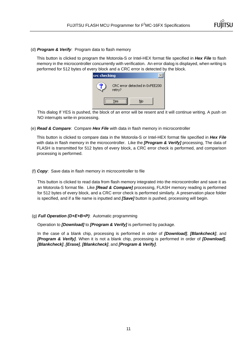

(d) *Program & Verify*: Program data to flash memory

This button is clicked to program the Motorola-S or Intel-HEX format file specified in *Hex File* to flash memory in the microcontroller concurrently with verification. An error dialog is displayed, when writing is performed for 512 bytes of every block and a CRC error is detected by the block.

| crc checking |        |                                |  |
|--------------|--------|--------------------------------|--|
|              | retry? | CRC error detected in 0xFEE200 |  |
|              | Ves    | No                             |  |

This dialog If YES is pushed, the block of an error will be resent and it will continue writing. A push on NO interrupts write-in processing.

(e) *Read & Compare*: Compare *Hex File* with data in flash memory in microcontroller

This button is clicked to compare data in the Motorola-S or Intel-HEX format file specified in *Hex File* with data in flash memory in the microcontroller. Like the *[Program & Verify]* processing, The data of FLASH is transmitted for 512 bytes of every block, a CRC error check is performed, and comparison processing is performed.

(f) *Copy*: Save data in flash memory in microcontroller to file

This button is clicked to read data from flash memory integrated into the microcontroller and save it as an Motorola-S format file. Like *[Read & Compare]* processing, FLASH memory reading is performed for 512 bytes of every block, and a CRC error check is performed similarly. A preservation place folder is specified, and if a file name is inputted and *[Save]* button is pushed, processing will begin.

(g) *Full Operation (D+E+B+P)*: Automatic programming

Operation to *[Download]* to *[Program & Verify]* is performed by package.

In the case of a blank chip, processing is performed in order of *[Download]*, *[Blankcheck]*, and *[Program & Verify]*. When it is not a blank chip, processing is performed in order of *[Download]*, *[Blankcheck]*, *[Erase]*, *[Blankcheck]*, and *[Program & Verify]*.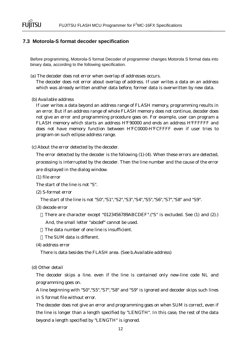

## **7.3 Motorola-S format decoder specification**

Before programming, Motorola-S format Decoder of programmer changes Motorola S format data into binary data, according to the following specification.

(a) The decoder does not error when overlap of addresses occurs.

The decoder does not error about overlap of address. If user writes a data on an address which was already written another data before, former data is overwritten by new data.

(b) Available address

If user writes a data beyond an address range of FLASH memory, programming results in an error. But if an address range of whole FLASH memory does not continue, decoder does not give an error and programming procedure goes on. For example, user can program a FLASH memory which starts an address H'F90000 and ends an address H'FFFFFF and does not have memory function between H'FC0000-H'FCFFFF even if user tries to program on such eclipse address range.

(c) About the error detected by the decoder.

The error detected by the decoder is the following (1)-(4). When these errors are detected, processing is interrupted by the decoder. Then the line number and the cause of the error are displayed in the dialog window.

(1) file error

The start of the line is not "S".

(2) S-format error

The start of the line is not "S0","S1","S2","S3","S4","S5","S6","S7","S8" and "S9".

(3) decode error

There are character except "0123456789ABCDEF".("S" is excluded. See (1) and (2).)

And, the small letter "abcdef" cannot be used.

The data number of one line is insufficient.

The SUM data is different.

(4) address error

There is data besides the FLASH area. (See b.Available address)

(d) Other detail

The decoder skips a line. even if the line is contained only new-line code NL and programming goes on.

A line beginning with "S0","S5","S7","S8" and "S9" is ignored and decoder skips such lines in S format file without error.

The decoder does not give an error and programming goes on when SUM is correct, even if the line is longer than a length specified by "LENGTH". In this case, the rest of the data beyond a length specified by "LENGTH" is ignored.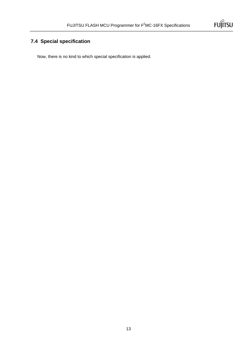

# **7.4 Special specification**

Now, there is no kind to which special specification is applied.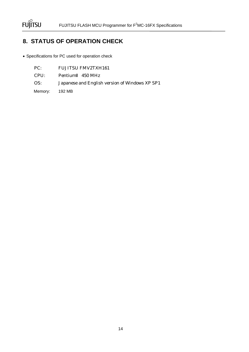

# **8. STATUS OF OPERATION CHECK**

• Specifications for PC used for operation check

| PC:            | <b>FUJITSU FMV2TXH161</b>                      |
|----------------|------------------------------------------------|
| CPU:           | Pentium 450 MHz                                |
| OS:            | Japanese and English version of Windows XP SP1 |
| Memory: 192 MB |                                                |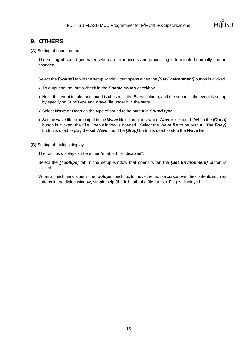

## **9. OTHERS**

(A) Setting of sound output

The setting of sound generated when an error occurs and processing is terminated normally can be changed.

Select the *[Sound]* tab in the setup window that opens when the *[Set Environment]* button is clicked.

- To output sound, put a check in the *Enable sound* checkbox.
- Next, the event to take out sound is chosen in the Event column, and the sound in the event is set up by specifying SundType and WaveFile under it in the state.
- Select *Wave* or *Beep* as the type of sound to be output in *Sound type*.
- Set the wave file to be output in the *Wave* file column only when *Wave* is selected. When the *[Open]* button is clicked, the File Open window is opened. Select the *Wave* file to be output. The *[Play]* button is used to play the set *Wave* file. The *[Stop]* button is used to stop the *Wave* file.
- (B) Setting of tooltips display

The tooltips display can be either "enabled" or "disabled".

Select the *[Tooltips]* tab in the setup window that opens when the *[Set Environment]* button is clicked.

When a checkmark is put in the *tooltips* checkbox to move the mouse cursor over the contents such as buttons in the dialog window, simple help (the full path of a file for Hex File) is displayed.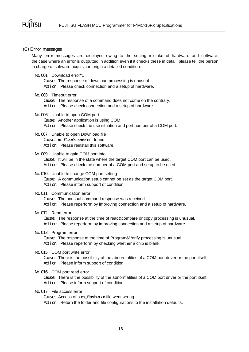

#### (C) Error messages

Many error messages are displayed owing to the setting mistake of hardware and software. the case where an error is outputted in addition even if it checks these in detail, please tell the person in charge of software acquisition origin a detailed condition.

## No. 001 Download error\*1

Cause: The response of download processing is unusual. Action: Please check connection and a setup of hardware.

#### No.003 Timeout error

Cause: The response of a command does not come on the contrary. Action: Please check connection and a setup of hardware.

No.  $006$  Unable to open COM port Cause: Another application is using COM. Action: Please check the use situation and port number of a COM port.

## No. 007 Unable to open Download file Cause: **m\_flash.xxx** not found Acti on: Please reinstall this software.

## No.  $009$  Unable to gain COM port info

Cause: It will be in the state where the target COM port can be used. Acti on: Please check the number of a COM port and setup to be used.

#### No. 010 Unable to change COM port setting

Cause: A communication setup cannot be set as the target COM port. Action: Please inform support of condition.

#### No. 011 Communication error

Cause: The unusual command response was received. Action: Please reperform by improving connection and a setup of hardware.

## No. 012 Read error

Cause: The response at the time of read&compare or copy processing is unusual. Acti on: Please reperform by improving connection and a setup of hardware.

## No.013 Program error

Cause: The response at the time of Program&Verify processing is unusual. Acti on: Please reperform by checking whether a chip is blank.

## No. 015 COM port write error

Cause: There is the possibility of the abnormalities of a COM port driver or the port itself. Action: Please inform support of condition.

### No. 016 COM port read error

Cause: There is the possibility of the abnormalities of a COM port driver or the port itself. Acti on: Please inform support of condition.

## No.017 File access error

Cause: Access of a **m\_flash.xxx** file went wrong.

Acti on: Return the folder and file configurations to the installation defaults.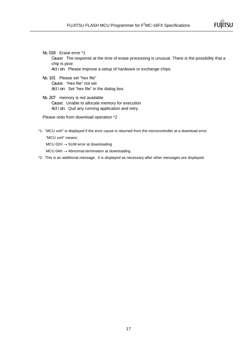

No.018 Erase error \*1

Cause: The response at the time of erase processing is unusual. There is the possibility that a chip is poor.

Acti on: Please improve a setup of hardware or exchange chips.

- No.101 Please set "hex file" Cause: "Hex file" not set Acti on: Set "hex file" in the dialog box.
- No. 207 memory is not available Cause: Unable to allocate memory for execution Acti on: Quit any running application and retry.

Please redo from download operation \*2

\*1: "MCU xxH" is displayed if the error cause is returned from the microcontroller at a download error. "MCU xxH" means:

MCU 02H → SUM error at downloading

MCU 04H → Abnormal termination at downloading

\*2: This is an additional message. It is displayed as necessary after other messages are displayed.